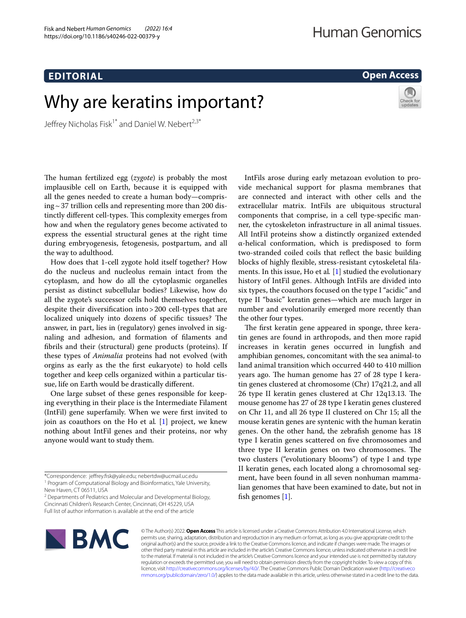# **Open Access**

# Why are keratins important?

Jeffrey Nicholas Fisk<sup>1\*</sup> and Daniel W. Nebert<sup>2,3\*</sup>

The human fertilized egg (zygote) is probably the most implausible cell on Earth, because it is equipped with all the genes needed to create a human body—compris $ing \sim 37$  trillion cells and representing more than 200 distinctly different cell-types. This complexity emerges from how and when the regulatory genes become activated to express the essential structural genes at the right time during embryogenesis, fetogenesis, postpartum, and all the way to adulthood.

How does that 1-cell zygote hold itself together? How do the nucleus and nucleolus remain intact from the cytoplasm, and how do all the cytoplasmic organelles persist as distinct subcellular bodies? Likewise, how do all the zygote's successor cells hold themselves together, despite their diversifcation into>200 cell-types that are localized uniquely into dozens of specific tissues? The answer, in part, lies in (regulatory) genes involved in signaling and adhesion, and formation of flaments and fbrils and their (structural) gene products (proteins). If these types of *Animalia* proteins had not evolved (with orgins as early as the the frst eukaryote) to hold cells together and keep cells organized within a particular tissue, life on Earth would be drastically diferent.

One large subset of these genes responsible for keeping everything in their place is the Intermediate Filament (IntFil) gene superfamily. When we were frst invited to join as coauthors on the Ho et al*.* [[1\]](#page-1-0) project, we knew nothing about IntFil genes and their proteins, nor why anyone would want to study them.

<sup>2</sup> Departments of Pediatrics and Molecular and Developmental Biology, Cincinnati Children's Research Center, Cincinnati, OH 45229, USA Full list of author information is available at the end of the article

IntFils arose during early metazoan evolution to provide mechanical support for plasma membranes that are connected and interact with other cells and the extracellular matrix. IntFils are ubiquitous structural components that comprise, in a cell type-specifc manner, the cytoskeleton infrastructure in all animal tissues. All IntFil proteins show a distinctly organized extended α-helical conformation, which is predisposed to form two-stranded coiled coils that refect the basic building blocks of highly fexible, stress-resistant cytoskeletal flaments. In this issue, Ho et al*.* [\[1](#page-1-0)] studied the evolutionary history of IntFil genes. Although IntFils are divided into six types, the coauthors focused on the type I "acidic" and type II "basic" keratin genes—which are much larger in number and evolutionarily emerged more recently than the other four types.

The first keratin gene appeared in sponge, three keratin genes are found in arthropods, and then more rapid increases in keratin genes occurred in lungfish and amphibian genomes, concomitant with the sea animal-to land animal transition which occurred 440 to 410 million years ago. The human genome has 27 of 28 type I keratin genes clustered at chromosome (Chr) 17q21.2, and all 26 type II keratin genes clustered at  $Chr$  12q13.13. The mouse genome has 27 of 28 type I keratin genes clustered on Chr 11, and all 26 type II clustered on Chr 15; all the mouse keratin genes are syntenic with the human keratin genes. On the other hand, the zebrafsh genome has 18 type I keratin genes scattered on fve chromosomes and three type II keratin genes on two chromosomes. The two clusters ("evolutionary blooms") of type I and type II keratin genes, each located along a chromosomal segment, have been found in all seven nonhuman mammalian genomes that have been examined to date, but not in fish genomes  $[1]$  $[1]$ .



© The Author(s) 2022. **Open Access** This article is licensed under a Creative Commons Attribution 4.0 International License, which permits use, sharing, adaptation, distribution and reproduction in any medium or format, as long as you give appropriate credit to the original author(s) and the source, provide a link to the Creative Commons licence, and indicate if changes were made. The images or other third party material in this article are included in the article's Creative Commons licence, unless indicated otherwise in a credit line to the material. If material is not included in the article's Creative Commons licence and your intended use is not permitted by statutory regulation or exceeds the permitted use, you will need to obtain permission directly from the copyright holder. To view a copy of this licence, visit [http://creativecommons.org/licenses/by/4.0/.](http://creativecommons.org/licenses/by/4.0/) The Creative Commons Public Domain Dedication waiver ([http://creativeco](http://creativecommons.org/publicdomain/zero/1.0/) [mmons.org/publicdomain/zero/1.0/](http://creativecommons.org/publicdomain/zero/1.0/)) applies to the data made available in this article, unless otherwise stated in a credit line to the data.

<sup>\*</sup>Correspondence: jefrey.fsk@yale.edu; nebertdw@ucmail.uc.edu <sup>1</sup> Program of Computational Biology and Bioinformatics, Yale University,

New Haven, CT 06511, USA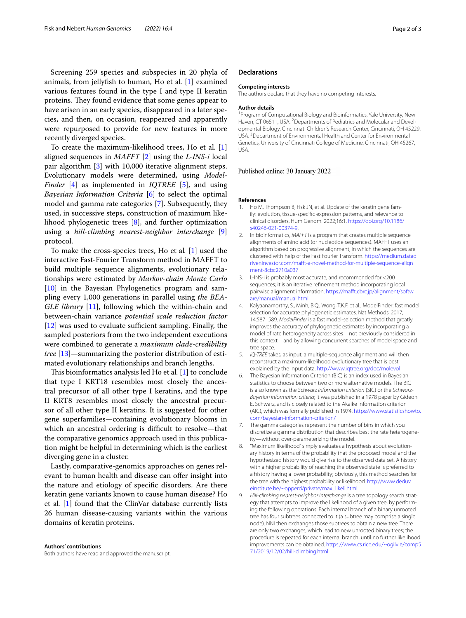Screening 259 species and subspecies in 20 phyla of animals, from jellyfsh to human, Ho et al*.* [\[1](#page-1-0)] examined various features found in the type I and type II keratin proteins. They found evidence that some genes appear to have arisen in an early species, disappeared in a later species, and then, on occasion, reappeared and apparently were repurposed to provide for new features in more recently diverged species.

To create the maximum-likelihood trees, Ho et al*.* [\[1](#page-1-0)] aligned sequences in *MAFFT* [\[2\]](#page-1-1) using the *L-INS-i* local pair algorithm [[3\]](#page-1-2) with 10,000 iterative alignment steps. Evolutionary models were determined, using *Model-Finder* [\[4](#page-1-3)] as implemented in *IQTREE* [[5\]](#page-1-4), and using *Bayesian Information Criteria* [\[6](#page-1-5)] to select the optimal model and gamma rate categories [[7\]](#page-1-6). Subsequently, they used, in successive steps, construction of maximum likelihood phylogenetic trees [[8\]](#page-1-7), and further optimization using a *hill-climbing nearest-neighbor interchange* [\[9](#page-1-8)] protocol.

To make the cross-species trees, Ho et al*.* [\[1](#page-1-0)] used the interactive Fast-Fourier Transform method in MAFFT to build multiple sequence alignments, evolutionary relationships were estimated by *Markov-chain Monte Carlo* [[10\]](#page-2-0) in the Bayesian Phylogenetics program and sampling every 1,000 generations in parallel using *the BEA-GLE library* [\[11](#page-2-1)], following which the within-chain and between-chain variance *potential scale reduction factor*  $[12]$  $[12]$  was used to evaluate sufficient sampling. Finally, the sampled posteriors from the two independent executions were combined to generate a *maximum clade-credibility tree* [[13](#page-2-3)]—summarizing the posterior distribution of estimated evolutionary relationships and branch lengths.

This bioinformatics analysis led Ho et al. [\[1\]](#page-1-0) to conclude that type I KRT18 resembles most closely the ancestral precursor of all other type I keratins, and the type II KRT8 resembles most closely the ancestral precursor of all other type II keratins. It is suggested for other gene superfamilies—containing evolutionary blooms in which an ancestral ordering is difficult to resolve—that the comparative genomics approach used in this publication might be helpful in determining which is the earliest diverging gene in a cluster.

Lastly, comparative-genomics approaches on genes relevant to human health and disease can offer insight into the nature and etiology of specifc disorders. Are there keratin gene variants known to cause human disease? Ho et al*.* [[1\]](#page-1-0) found that the ClinVar database currently lists 26 human disease-causing variants within the various domains of keratin proteins.

**Authors' contributions** Both authors have read and approved the manuscript.

### **Declarations**

#### **Competing interests**

The authors declare that they have no competing interests.

#### **Author details**

<sup>1</sup> Program of Computational Biology and Bioinformatics, Yale University, New Haven, CT 06511, USA. <sup>2</sup> Departments of Pediatrics and Molecular and Developmental Biology, Cincinnati Children's Research Center, Cincinnati, OH 45229, USA.<sup>3</sup> Department of Environmental Health and Center for Environmental Genetics, University of Cincinnati College of Medicine, Cincinnati, OH 45267, USA.

#### Published online: 30 January 2022

#### **References**

- <span id="page-1-0"></span>1. Ho M, Thompson B, Fisk JN, et al. Update of the keratin gene family: evolution, tissue-specifc expression patterns, and relevance to clinical disorders. Hum Genom. 2022;16:1. [https://doi.org/10.1186/](https://doi.org/10.1186/s40246-021-00374-9) [s40246-021-00374-9](https://doi.org/10.1186/s40246-021-00374-9).
- <span id="page-1-1"></span>2. In bioinformatics, *MAFFT* is a program that creates multiple sequence alignments of amino acid (or nucleotide sequences). MAFFT uses an algorithm based on progressive alignment, in which the sequences are clustered with help of the Fast Fourier Transform. [https://medium.datad](https://medium.datadriveninvestor.com/mafft-a-novel-method-for-multiple-sequence-alignment-8cbc2710a037) [riveninvestor.com/maft-a-novel-method-for-multiple-sequence-align](https://medium.datadriveninvestor.com/mafft-a-novel-method-for-multiple-sequence-alignment-8cbc2710a037) [ment-8cbc2710a037](https://medium.datadriveninvestor.com/mafft-a-novel-method-for-multiple-sequence-alignment-8cbc2710a037)
- <span id="page-1-2"></span>3. L-INS-i is probably most accurate, and recommended for <200 sequences; it is an iterative refnement method incorporating local pairwise alignment information. [https://maft.cbrc.jp/alignment/softw](https://mafft.cbrc.jp/alignment/software/manual/manual.html) [are/manual/manual.html](https://mafft.cbrc.jp/alignment/software/manual/manual.html)
- <span id="page-1-3"></span>4. Kalyaanamorthy, S., Minh, B.Q., Wong, T.K.F. et al*.*, ModelFinder: fast model selection for accurate phylogenetic estimates. Nat Methods. 2017; 14:587–589. *ModelFinder* is a fast model-selection method that greatly improves the accuracy of phylogenetic estimates by incorporating a model of rate heterogeneity across sites—not previously considered in this context—and by allowing concurrent searches of model space and tree space.
- <span id="page-1-4"></span>5. *IQ-TREE* takes, as input, a multiple-sequence alignment and will then reconstruct a maximum-likelihood evolutionary tree that is best explained by the input data.<http://www.iqtree.org/doc/molevol>
- <span id="page-1-5"></span>6. The Bayesian Information Criterion (BIC) is an index used in Bayesian statistics to choose between two or more alternative models. The BIC is also known as the *Schwarz information criterion* (SIC) or the *Schwarz-Bayesian information criteria*; it was published in a 1978 paper by Gideon E. Schwarz, and is closely related to the Akaike information criterion (AIC), which was formally published in 1974. [https://www.statisticshowto.](https://www.statisticshowto.com/bayesian-information-criterion/) [com/bayesian-information-criterion/](https://www.statisticshowto.com/bayesian-information-criterion/)
- <span id="page-1-6"></span>7. The gamma categories represent the number of bins in which you discretize a gamma distribution that describes best the rate heterogeneity—without over-parameterizing the model.
- <span id="page-1-7"></span>8. "Maximum likelihood" simply evaluates a hypothesis about evolutionary history in terms of the probability that the proposed model and the hypothesized history would give rise to the observed data set. A history with a higher probability of reaching the observed state is preferred to a history having a lower probability; obviously, this method searches for the tree with the highest probability or likelihood. [http://www.deduv](http://www.deduveinstitute.be/~opperd/private/max_likeli.html) [einstitute.be/~opperd/private/max\\_likeli.html](http://www.deduveinstitute.be/~opperd/private/max_likeli.html)
- <span id="page-1-8"></span>9. *Hill-climbing nearest-neighbor interchange* is a tree topology search strategy that attempts to improve the likelihood of a given tree, by performing the following operations: Each internal branch of a binary unrooted tree has four subtrees connected to it (a subtree may comprise a single node). NNI then exchanges those subtrees to obtain a new tree. There are only two exchanges, which lead to new unrooted binary trees; the procedure is repeated for each internal branch, until no further likelihood improvements can be obtained. [https://www.cs.rice.edu/~ogilvie/comp5](https://www.cs.rice.edu/~ogilvie/comp571/2019/12/02/hill-climbing.html) [71/2019/12/02/hill-climbing.html](https://www.cs.rice.edu/~ogilvie/comp571/2019/12/02/hill-climbing.html)